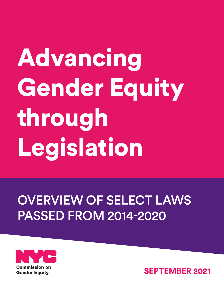# Advancing Gender Equity through Legislation

# OVERVIEW OF SELECT LAWS PASSED FROM 2014-2020



SEPTEMBER 2021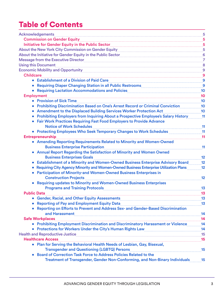# Table of Contents

<span id="page-2-0"></span>

| <b>Acknowledgements</b>                                                                                                                                                                        | $\ldots$ <sup>5</sup> |
|------------------------------------------------------------------------------------------------------------------------------------------------------------------------------------------------|-----------------------|
| <b>Commission on Gender Equity</b>                                                                                                                                                             |                       |
| Initiative for Gender Equity in the Public Sector                                                                                                                                              |                       |
| About the New York City Commission on Gender Equity [11] About the New York City Commission on Gender Equity [                                                                                 |                       |
| About the Initiative for Gender Equity in the Public Sector [11] Mathemas Manuscription of About the Initiative for Gender Equity in the Public Sector [11] Mathemas Manuscription of About 16 |                       |
| Message from the Executive Director [11] Message from the Executive Director [11] Message from the Executive Director                                                                          |                       |
| <b>Using this Document</b>                                                                                                                                                                     |                       |
| Economic Mobility and Opportunity Material Announce and Alexander Mobility and Opportunity Material Annual Ann                                                                                 |                       |
| <b>Childcare</b>                                                                                                                                                                               |                       |
| • Establishment of a Division of Paid Care                                                                                                                                                     |                       |
|                                                                                                                                                                                                |                       |
|                                                                                                                                                                                                |                       |
| <b>Employment</b>                                                                                                                                                                              | 10                    |
| • Provision of Sick Time                                                                                                                                                                       | 10                    |
| Prohibiting Discrimination Based on One's Arrest Record or Criminal Conviction                                                                                                                 | 10                    |
| Amendment to the Displaced Building Services Worker Protection Act<br>$\bullet$                                                                                                                | 10                    |
| Prohibiting Employers from Inquiring About a Prospective Employee's Salary History                                                                                                             | $-11$                 |
| <b>Fair Work Practices Requiring Fast Food Employers to Provide Advance</b>                                                                                                                    |                       |
| <b>Notice of Work Schedules</b>                                                                                                                                                                | $-11$                 |
| • Protecting Employees Who Seek Temporary Changes to Work Schedules                                                                                                                            | 11                    |
| <b>Entrepreneurship</b>                                                                                                                                                                        | 11                    |
| • Amending Reporting Requirements Related to Minority and Women-Owned                                                                                                                          |                       |
| <b>Business Enterprise Participation</b>                                                                                                                                                       | 11                    |
| • Annual Report Regarding the Satisfaction of Minority and Women Owned                                                                                                                         |                       |
| <b>Business Enterprises Goals</b>                                                                                                                                                              | 12                    |
| <b>Establishment of a Minority and Women-Owned Business Enterprise Advisory Board</b>                                                                                                          | 12                    |
| Requiring City Agency Minority and Women-Owned Business Enterprise Utilization Plans                                                                                                           | 12                    |
| <b>Participation of Minority-and Women-Owned Business Enterprises in</b>                                                                                                                       |                       |
| <b>Construction Projects</b>                                                                                                                                                                   | 12                    |
| <b>Requiring updates to Minority and Women-Owned Business Enterprises</b>                                                                                                                      |                       |
| <b>Programs and Training Protocols</b>                                                                                                                                                         | 13                    |
| <b>Public Data</b>                                                                                                                                                                             | 13                    |
|                                                                                                                                                                                                |                       |
| Reporting of Pay and Employment Equity Data [11] Marshall Mathematic Marshall Marshall Marshall Marshall Mars                                                                                  |                       |
| Reporting on Efforts to Prevent and Address Sex- and Gender-Based Discrimination                                                                                                               |                       |
| and Harassment 14                                                                                                                                                                              |                       |
| <b>Safe Workplaces</b>                                                                                                                                                                         |                       |
| • Prohibiting Employment Discrimination and Discriminatory Harassment or Violence14                                                                                                            |                       |
| • Protections for Workers Under the City's Human Rights Law [14] Protections for Workers Under the City's Human Rights Law                                                                     |                       |
|                                                                                                                                                                                                |                       |
| <b>Healthcare Access</b>                                                                                                                                                                       |                       |
| • Plan for Serving the Behavioral Health Needs of Lesbian, Gay, Bisexual,                                                                                                                      |                       |
| <b>Transgender and Questioning (LGBTQ) Persons</b>                                                                                                                                             |                       |
| Board of Correction Task Force to Address Policies Related to the                                                                                                                              |                       |
| Treatment of Transgender, Gender Non-Conforming, and Non-Binary Individuals 15                                                                                                                 |                       |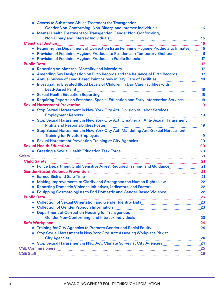|                    | • Access to Substance Abuse Treatment for Transgender,                                                                               |    |
|--------------------|--------------------------------------------------------------------------------------------------------------------------------------|----|
|                    | Gender Non-Conforming, Non-Binary, and Intersex Individuals                                                                          | 16 |
|                    | • Mental Health Treatment for Transgender, Gender Non-Conforming,                                                                    |    |
|                    |                                                                                                                                      | 16 |
|                    | <b>Menstrual Justice</b>                                                                                                             | 16 |
|                    | • Requiring the Department of Correction Issue Feminine Hygiene Products to Inmates                                                  | 16 |
|                    | • Provision of Feminine Hygiene Products to Residents in Temporary Shelters Matters                                                  | 16 |
|                    | • Provision of Feminine Hygiene Products in Public Schools <b>Community Provision</b> of Feminine Hygiene Products in Public Schools | 17 |
| <b>Public Data</b> | $\frac{17}{20}$                                                                                                                      |    |
| $\bullet$          | <b>Reporting on Maternal Mortality and Morbidity</b><br><b>17</b>                                                                    |    |
|                    | Amending Sex Designation on Birth Records and the Issuance of Birth Records                                                          | 17 |
|                    | <b>Annual Survey of Lead-Based Paint Survey in Day Care of Facilities</b>                                                            | 18 |
|                    | Investigating Elevated Blood Levels of Children in Day Care Facilities with<br><b>Lead-Based Paint</b>                               | 18 |
|                    | • Sexual Health Education Reporting                                                                                                  | 18 |
|                    | Requiring Reports on Preschool Special Education and Early Intervention Services 18                                                  |    |
|                    | <b>Sexual Harassment Prevention</b>                                                                                                  | 19 |
|                    | • Stop Sexual Harassment in New York City Act: Division of Labor Services                                                            |    |
|                    | <b>Employment Reports</b>                                                                                                            | 19 |
|                    | Stop Sexual Harassment in New York City Act: Creating an Anti-Sexual Harassment                                                      |    |
|                    | <b>Rights and Responsibilities Poster</b>                                                                                            | 19 |
|                    | Stop Sexual Harassment in New York City Act: Mandating Anti-Sexual Harassment                                                        |    |
|                    | <b>Training for Private Employers</b>                                                                                                | 19 |
|                    |                                                                                                                                      | 20 |
|                    | <b>Sexual Health Education</b>                                                                                                       | 20 |
|                    |                                                                                                                                      | 20 |
| <b>Safety</b>      |                                                                                                                                      | 21 |
|                    | <b>Child Safety</b> 2008 2014 2022 2023 2024 2025 2022 2023 2024 2022 2023 2023 2024 2025 2026 2027 2028 2029 2021 20<br>21          |    |
|                    | • Police Department Child Sensitive Arrest Required Training and Guidance                                                            | 21 |
|                    | <b>Gender-Based Violence Prevention</b>                                                                                              | 21 |
|                    | • Earned Sick and Safe Time                                                                                                          | 21 |
|                    | Making Improvements to Clarify and Strengthen the Human Rights Law                                                                   | 22 |
|                    |                                                                                                                                      |    |
|                    | Equipping Cosmetologists to End Domestic and Gender-Based Violence [11, 22]                                                          |    |
| <b>Public Data</b> |                                                                                                                                      | 23 |
|                    |                                                                                                                                      |    |
|                    | <b>Collection of Gender Pronoun Information</b>                                                                                      |    |
|                    | • Department of Correction Housing for Transgender,                                                                                  |    |
|                    |                                                                                                                                      | 23 |
|                    | <b>Safe Workplace</b>                                                                                                                |    |
|                    |                                                                                                                                      | 24 |
|                    | • Stop Sexual Harassment in New York City Act: Assessing Workplace Risk at                                                           |    |
|                    | City Agencies <b>Marine Marine City Agencies</b>                                                                                     | 24 |
| $\bullet$          | Stop Sexual Harassment in NYC Act: Climate Survey at City Agencies                                                                   | 24 |
|                    | CGE Commissioners 25. 25                                                                                                             |    |
|                    |                                                                                                                                      |    |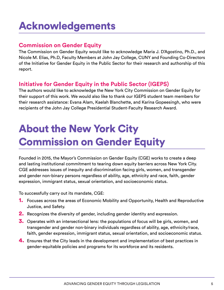# <span id="page-4-0"></span>Acknowledgements

# **Commission on Gender Equity**

The Commission on Gender Equity would like to acknowledge Maria J. D'Agostino, Ph.D., and Nicole M. Elias, Ph.D, Faculty Members at John Jay College, CUNY and Founding Co-Directors of the Initiative for Gender Equity in the Public Sector for their research and authorship of this report.

# **Initiative for Gender Equity in the Public Sector (IGEPS)**

The authors would like to acknowledge the New York City Commission on Gender Equity for their support of this work. We would also like to thank our IGEPS student team members for their research assistance: Evana Alam, Kaelah Blanchette, and Karina Gopeesingh, who were recipients of the John Jay College Presidential Student-Faculty Research Award.

# About the New York City Commission on Gender Equity

Founded in 2015, the Mayor's Commission on Gender Equity (CGE) works to create a deep and lasting institutional commitment to tearing down equity barriers across New York City. CGE addresses issues of inequity and discrimination facing girls, women, and transgender and gender non-binary persons regardless of ability, age, ethnicity and race, faith, gender expression, immigrant status, sexual orientation, and socioeconomic status.

To successfully carry out its mandate, CGE:

- 1. Focuses across the areas of Economic Mobility and Opportunity, Health and Reproductive Justice, and Safety.
- **2.** Recognizes the diversity of gender, including gender identity and expression.
- **3.** Operates with an intersectional lens: the populations of focus will be girls, women, and transgender and gender non-binary individuals regardless of ability, age, ethnicity/race, faith, gender expression, immigrant status, sexual orientation, and socioeconomic status.
- 4. Ensures that the City leads in the development and implementation of best practices in gender-equitable policies and programs for its workforce and its residents.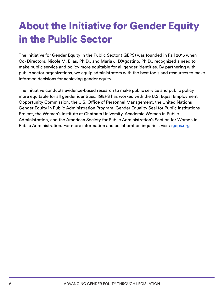# <span id="page-5-0"></span>About the Initiative for Gender Equity in the Public Sector

The Initiative for Gender Equity in the Public Sector (IGEPS) was founded in Fall 2013 when Co- Directors, Nicole M. Elias, Ph.D., and Maria J. D'Agostino, Ph.D., recognized a need to make public service and policy more equitable for all gender identities. By partnering with public sector organizations, we equip administrators with the best tools and resources to make informed decisions for achieving gender equity.

The Initiative conducts evidence-based research to make public service and public policy more equitable for all gender identities. IGEPS has worked with the U.S. Equal Employment Opportunity Commission, the U.S. Office of Personnel Management, the United Nations Gender Equity in Public Administration Program, Gender Equality Seal for Public Institutions Project, the Women's Institute at Chatham University, Academic Women in Public Administration, and the American Society for Public Administration's Section for Women in Public Administration. For more information and collaboration inquiries, visit: [igeps.org](http://igeps.org)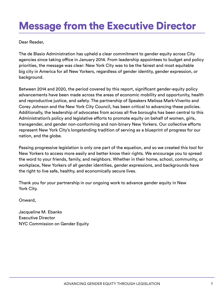# <span id="page-6-0"></span>Message from the Executive Director

Dear Reader,

The de Blasio Administration has upheld a clear commitment to gender equity across City agencies since taking office in January 2014. From leadership appointees to budget and policy priorities, the message was clear: New York City was to be the fairest and most equitable big city in America for all New Yorkers, regardless of gender identity, gender expression, or background.

Between 2014 and 2020, the period covered by this report, significant gender-equity policy advancements have been made across the areas of economic mobility and opportunity, health and reproductive justice, and safety. The partnership of Speakers Melissa Mark-Viverito and Corey Johnson and the New York City Council, has been critical to advancing these policies. Additionally, the leadership of advocates from across all five boroughs has been central to this Administration's policy and legislative efforts to promote equity on behalf of women, girls, transgender, and gender non-conforming and non-binary New Yorkers. Our collective efforts represent New York City's longstanding tradition of serving as a blueprint of progress for our nation, and the globe.

Passing progressive legislation is only one part of the equation, and so we created this tool for New Yorkers to access more easily and better know their rights. We encourage you to spread the word to your friends, family, and neighbors. Whether in their home, school, community, or workplace, New Yorkers of all gender identities, gender expressions, and backgrounds have the right to live safe, healthy, and economically secure lives.

Thank you for your partnership in our ongoing work to advance gender equity in New York City.

Onward,

Jacqueline M. Ebanks Executive Director NYC Commission on Gender Equity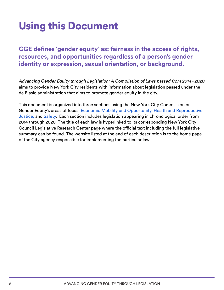# <span id="page-7-0"></span>Using this Document

**CGE defines 'gender equity' as: fairness in the access of rights, resources, and opportunities regardless of a person's gender identity or expression, sexual orientation, or background.**

Advancing Gender Equity through Legislation: A Compilation of Laws passed from 2014 - 2020 aims to provide New York City residents with information about legislation passed under the de Blasio administration that aims to promote gender equity in the city.

This document is organized into three sections using the New York City Commission on Gender Equity's areas of focus: [Economic Mobility and Opportunity,](https://www1.nyc.gov/site/genderequity/economic-equity/economic-equity.page) [Health and Reproductive](https://www1.nyc.gov/site/genderequity/health/health.page)  [Justice,](https://www1.nyc.gov/site/genderequity/health/health.page) and [Safety.](https://www1.nyc.gov/site/genderequity/safety/safety.page) Each section includes legislation appearing in chronological order from 2014 through 2020. The title of each law is hyperlinked to its corresponding New York City Council Legislative Research Center page where the official text including the full legislative summary can be found. The website listed at the end of each description is to the home page of the City agency responsible for implementing the particular law.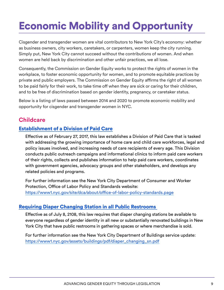# <span id="page-8-0"></span>Economic Mobility and Opportunity

Cisgender and transgender women are vital contributors to New York City's economy: whether as business owners, city workers, caretakers, or carpenters, women keep the city running. Simply put, New York City cannot succeed without the contributions of women. And when women are held back by discrimination and other unfair practices, we all lose.

Consequently, the Commission on Gender Equity works to protect the rights of women in the workplace, to foster economic opportunity for women, and to promote equitable practices by private and public employers. The Commission on Gender Equity affirms the right of all women to be paid fairly for their work, to take time off when they are sick or caring for their children, and to be free of discrimination based on gender identity, pregnancy, or caretaker status.

Below is a listing of laws passed between 2014 and 2020 to promote economic mobility and opportunity for cisgender and transgender women in NYC.

# **Childcare**

#### [Establishment of a Division of Paid Care](https://legistar.council.nyc.gov/LegislationDetail.aspx?ID=2576392&GUID=632A3331-9DC6-4348-ADB6-AD9FFF5F03A7&Options=ID%7CText%7C&Search=)

Effective as of February 27, 2017, this law establishes a Division of Paid Care that is tasked with addressing the growing importance of home care and child care workforces, legal and policy issues involved, and increasing needs of care recipients of every age. This Division conducts public outreach campaigns and informational clinics to inform paid care workers of their rights, collects and publishes information to help paid care workers, coordinates with government agencies, advocacy groups and other stakeholders, and develops any related policies and programs.

For further information see the New York City Department of Consumer and Worker Protection, Office of Labor Policy and Standards website: <https://www1.nyc.gov/site/dca/about/office-of-labor-policy-standards.page>

#### [Requiring Diaper Changing Station in all Public Restrooms](https://legistar.council.nyc.gov/LegislationDetail.aspx?ID=2813480&GUID=7AE01032-D264-4060-9BB1-63931F654A5F&Options=ID|Text|&Search=1241-A)

Effective as of July 8, 2108, this law requires that diaper changing stations be available to everyone regardless of gender identity in all new or substantially renovated buildings in New York City that have public restrooms in gathering spaces or where merchandise is sold.

For further information see the New York City Department of Buildings service update: [https://www1.nyc.gov/assets/buildings/pdf/diaper\\_changing\\_sn.pdf](https://www1.nyc.gov/assets/buildings/pdf/diaper_changing_sn.pdf )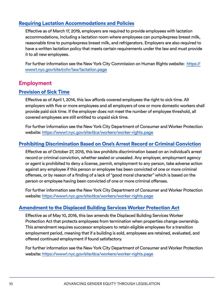#### <span id="page-9-0"></span>[Requiring Lactation Accommodations and Policies](https://gcc02.safelinks.protection.outlook.com/?url=https%3A%2F%2Flegistar.council.nyc.gov%2FLegislationDetail.aspx%3FID%3D3498511%26GUID%3DDF40CA42-25CB-44D2-AF7F-880164C68CD2%26Options%3DID%257CText%257C%26Search%3D186&data=04%7C01%7CDZhou%40cityhall.nyc.gov%7C2f9d4d40172547e221ae08d96c977578%7C35c828166c56443bbaf68312163cadc1%7C0%7C0%7C637660220048624858%7CUnknown%7CTWFpbGZsb3d8eyJWIjoiMC4wLjAwMDAiLCJQIjoiV2luMzIiLCJBTiI6Ik1haWwiLCJXVCI6Mn0%3D%7C1000&sdata=YEDBTFl%2FcJy5btIzltjdMHirJZ2m6z9Tmdf7yE%2BvT3c%3D&reserved=0)

Effective as of March 17, 2019, employers are required to provide employees with lactation accommodations, including a lactation room where employees can pump/express breast milk, reasonable time to pump/express breast milk, and refrigerators. Employers are also required to have a written lactation policy that meets certain requirements under the law and must provide it to all new employees.

For further information see the New York City Commission on Human Rights website: [https://](https://www1.nyc.gov/site/cchr/law/lactation.page) [www1.nyc.gov/site/cchr/law/lactation.page](https://www1.nyc.gov/site/cchr/law/lactation.page)

# **Employment**

#### [Provision of Sick Time](https://legistar.council.nyc.gov/LegislationDetail.aspx?ID=1636850&GUID=FD23CC16-F69E-4F06-B448-251F1CFC922D)

Effective as of April 1, 2014, this law affords covered employees the right to sick time. All employers with five or more employees and all employers of one or more domestic workers shall provide paid sick time. If the employer does not meet the number of employee threshold, all covered employees are still entitled to unpaid sick time.

For further information see the New York City Department of Consumer and Worker Protection website:<https://www1.nyc.gov/site/dca/workers/worker-rights.page>

#### [Prohibiting Discrimination Based on One's Arrest Record or Criminal Conviction](https://legistar.council.nyc.gov/LegislationDetail.aspx?ID=1739365&GUID=EF70B69C-074A-4B8E-9D36-187C76BB1098)

Effective as of October 27, 2015, this law prohibits discrimination based on an individual's arrest record or criminal conviction, whether sealed or unsealed. Any employer, employment agency or agent is prohibited to deny a license, permit, employment to any person, take adverse action against any employee if this person or employee has been convicted of one or more criminal offenses, or by reason of a finding of a lack of "good moral character" which is based on the person or employee having been convicted of one or more criminal offenses.

For further information see the New York City Department of Consumer and Worker Protection website:<https://www1.nyc.gov/site/dca/workers/worker-rights.page>

#### [Amendment to the Displaced Building Services Worker Protection Act](https://legistar.council.nyc.gov/LegislationDetail.aspx?ID=2515189&GUID=996EDB08-31D8-45B9-9531-E1E1C7C7B21C&Options=ID%7CText%7C&Search=Displaced+Building+Service+Workers)

Effective as of May 10, 2016, this law amends the Displaced Building Services Worker Protection Act that protects employees from termination when properties change ownership. This amendment requires successor employers to retain eligible employees for a transition employment period, meaning that if a building is sold, employees are retained, evaluated, and offered continued employment if found satisfactory.

For further information see the New York City Department of Consumer and Worker Protection website:<https://www1.nyc.gov/site/dca/workers/worker-rights.page>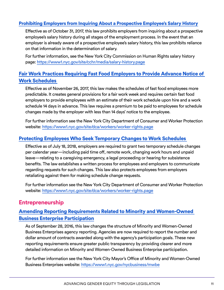#### <span id="page-10-0"></span>[Prohibiting Employers from Inquiring About a Prospective Employee's Salary History](https://legistar.council.nyc.gov/LegislationDetail.aspx?ID=2813507&GUID=938399E5-6608-42F5-9C83-9D2665D9496F)

Effective as of October 31, 2017, this law prohibits employers from inquiring about a prospective employee's salary history during all stages of the employment process. In the event that an employer is already aware of a prospective employee's salary history, this law prohibits reliance on that information in the determination of salary.

For further information, see the New York City Commission on Human Rights salary history page:<https://www1.nyc.gov/site/cchr/media/salary-history.page>

#### [Fair Work Practices Requiring Fast Food Employers to Provide Advance Notice of](https://legistar.council.nyc.gov/LegislationDetail.aspx?ID=2900942&GUID=F6382D3F-7D70-4324-A083-65BD4E355E55&Options=ID%7CText%7C&Search=Temporary+Schedule+Change+Law)  [Work Schedules](https://legistar.council.nyc.gov/LegislationDetail.aspx?ID=2900942&GUID=F6382D3F-7D70-4324-A083-65BD4E355E55&Options=ID%7CText%7C&Search=Temporary+Schedule+Change+Law)

Effective as of November 26, 2017, this law makes the schedules of fast food employees more predictable. It creates general provisions for a fair work week and requires certain fast food employers to provide employees with an estimate of their work schedule upon hire and a work schedule 14 days in advance. This law requires a premium to be paid to employees for schedule changes made by the employer with less than 14 days' notice to the employee.

For further information see the New York City Department of Consumer and Worker Protection website:<https://www1.nyc.gov/site/dca/workers/worker-rights.page>

#### [Protecting Employees Who Seek Temporary Changes to Work Schedules](https://legistar.council.nyc.gov/LegislationDetail.aspx?ID=2900941&GUID=68DC01AE-C577-4B86-B3E5-B9D98836C1E2&Options=ID%7CText%7C&Search=Temporary+Schedule+Change+Law)

Effective as of July 18, 2018, employers are required to grant two temporary schedule changes per calendar year—including paid time off, remote work, changing work hours and unpaid leave—relating to a caregiving emergency, a legal proceeding or hearing for subsistence benefits. The law establishes a written process for employees and employers to communicate regarding requests for such changes. This law also protects employees from employers retaliating against them for making schedule change requests.

For further information see the New York City Department of Consumer and Worker Protection website:<https://www1.nyc.gov/site/dca/workers/worker-rights.page>

### **Entrepreneurship**

#### [Amending Reporting Requirements Related to Minority and Women-Owned](https://legistar.council.nyc.gov/LegislationDetail.aspx?ID=2527420&GUID=F21669C6-7671-4842-B8C2-34E3521F291D&Options=&Search=)  [Business Enterprise Participation](https://legistar.council.nyc.gov/LegislationDetail.aspx?ID=2527420&GUID=F21669C6-7671-4842-B8C2-34E3521F291D&Options=&Search=)

As of September 28, 2016, this law changes the structure of Minority and Women-Owned Business Enterprises agency reporting. Agencies are now required to report the number and dollar amount of contracts awarded along with the agency's participation goals. These new reporting requirements ensure greater public transparency by providing clearer and more detailed information on Minority and Women-Owned Business Enterprise participation.

For further information see the New York City Mayor's Office of Minority and Women-Owned Business Enterprises website:<https://www1.nyc.gov/nycbusiness/mwbe>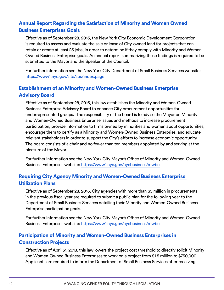# <span id="page-11-0"></span>[Annual Report Regarding the Satisfaction of Minority and Women Owned](https://legistar.council.nyc.gov/LegislationDetail.aspx?ID=2473917&GUID=8638ADAB-3812-4181-BCB2-7FA43757D5C0&Options=&Search=)  [Business Enterprises Goals](https://legistar.council.nyc.gov/LegislationDetail.aspx?ID=2473917&GUID=8638ADAB-3812-4181-BCB2-7FA43757D5C0&Options=&Search=)

Effective as of September 28, 2016, the New York City Economic Development Corporation is required to assess and evaluate the sale or lease of City-owned land for projects that can retain or create at least 25 jobs, in order to determine if they comply with Minority and Women-Owned Business Enterprise goals. An annual report summarizing these findings is required to be submitted to the Mayor and the Speaker of the Council.

For further information see the New York City Department of Small Business Services website: <https://www1.nyc.gov/site/sbs/index.page>

# [Establishment of an Minority and Women-Owned Business Enterprise](https://legistar.council.nyc.gov/LegislationDetail.aspx?ID=2513770&GUID=8373D8A5-1E3D-42D4-88C2-9CC72D3978AD&Options=&Search=)  [Advisory Board](https://legistar.council.nyc.gov/LegislationDetail.aspx?ID=2513770&GUID=8373D8A5-1E3D-42D4-88C2-9CC72D3978AD&Options=&Search=)

Effective as of September 28, 2016, this law establishes the Minority and Women-Owned Business Enterprise Advisory Board to enhance City procurement opportunities for underrepresented groups. The responsibility of the board is to advise the Mayor on Minority and Women-Owned Business Enterprise issues and methods to increase procurement participation, provide information to firms owned by minorities and women about opportunities, encourage them to certify as a Minority and Women-Owned Business Enterprise, and educate relevant stakeholders in order to support the City's efforts to increase economic opportunity. The board consists of a chair and no fewer than ten members appointed by and serving at the pleasure of the Mayor.

For further information see the New York City Mayor's Office of Minority and Women-Owned Business Enterprises website:<https://www1.nyc.gov/nycbusiness/mwbe>

#### [Requiring City Agency Minority and Women-Owned Business Enterprise](https://legistar.council.nyc.gov/LegislationDetail.aspx?ID=2523139&GUID=CD144499-A570-4354-9653-374C5E27F65C&Options=&Search=)  [Utilization Plans](https://legistar.council.nyc.gov/LegislationDetail.aspx?ID=2523139&GUID=CD144499-A570-4354-9653-374C5E27F65C&Options=&Search=)

Effective as of September 28, 2016, City agencies with more than \$5 million in procurements in the previous fiscal year are required to submit a public plan for the following year to the Department of Small Business Services detailing their Minority and Women-Owned Business Enterprise participation goals.

For further information see the New York City Mayor's Office of Minority and Women-Owned Business Enterprises website: <https://www1.nyc.gov/nycbusiness/mwbe>

# [Participation of Minority and Women-Owned Business Enterprises in](https://legistar.council.nyc.gov/LegislationDetail.aspx?ID=2900950&GUID=B3217627-DE96-4593-BCF5-C820E9601CC2&Options=&Search=)  [Construction Projects](https://legistar.council.nyc.gov/LegislationDetail.aspx?ID=2900950&GUID=B3217627-DE96-4593-BCF5-C820E9601CC2&Options=&Search=)

Effective as of April 31, 2018, this law lowers the project cost threshold to directly solicit Minority and Women-Owned Business Enterprises to work on a project from \$1.5 million to \$750,000. Applicants are required to inform the Department of Small Business Services after receiving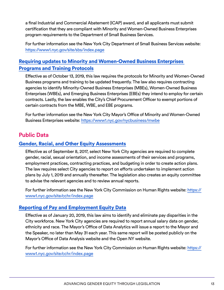<span id="page-12-0"></span>a final Industrial and Commercial Abatement (ICAP) award, and all applicants must submit certification that they are compliant with Minority and Women-Owned Business Enterprises program requirements to the Department of Small Business Services.

For further information see the New York City Department of Small Business Services website: <https://www1.nyc.gov/site/sbs/index.page>

#### [Requiring updates to](https://legistar.council.nyc.gov/LegislationDetail.aspx?ID=3872955&GUID=391F7DE2-91E6-4D0C-9CAC-2AC8A166BF0E&Options=ID%7CText%7C&Search=Gender) [Minority and Women-Owned Business Enterprises](https://legistar.council.nyc.gov/LegislationDetail.aspx?ID=3872955&GUID=391F7DE2-91E6-4D0C-9CAC-2AC8A166BF0E&Options=ID%7CText%7C&Search=Gender) [Programs and Training Protocols](https://legistar.council.nyc.gov/LegislationDetail.aspx?ID=3872955&GUID=391F7DE2-91E6-4D0C-9CAC-2AC8A166BF0E&Options=ID%7CText%7C&Search=Gender)

Effective as of October 13, 2019, this law requires the protocols for Minority and Women-Owned Business programs and training to be updated frequently. The law also requires contracting agencies to identify Minority-Owned Business Enterprises (MBEs), Women-Owned Business Enterprises (WBEs), and Emerging Business Enterprises (EBEs) they intend to employ for certain contracts. Lastly, the law enables the City's Chief Procurement Officer to exempt portions of certain contracts from the MBE, WBE, and EBE programs.

For further information see the New York City Mayor's Office of Minority and Women-Owned Business Enterprises website:<https://www1.nyc.gov/nycbusiness/mwbe>

# **Public Data**

#### [Gender, Racial, and Other Equity Assessments](https://legistar.council.nyc.gov/LegislationDetail.aspx?ID=2984574&GUID=3ADDE89E-6C0D-4C9F-8293-EC23C3FC166C&Options=&Search=)

Effective as of September 8, 2017, select New York City agencies are required to complete gender, racial, sexual orientation, and income assessments of their services and programs, employment practices, contracting practices, and budgeting in order to create action plans. The law requires select City agencies to report on efforts undertaken to implement action plans by July 1, 2019 and annually thereafter. The legislation also creates an equity committee to advise the relevant agencies and to review annual reports.

For further information see the New York City Commission on Human Rights website: [https://](https://www1.nyc.gov/site/cchr/index.page) [www1.nyc.gov/site/cchr/index.page](https://www1.nyc.gov/site/cchr/index.page)

#### [Reporting of Pay and Employment Equity Data](https://legistar.council.nyc.gov/LegislationDetail.aspx?ID=3371662&GUID=5FCAFC03-035E-45D9-BE1A-4EBE7D6DF43C&Options=ID%7CText%7C&Search=Committee+on+Civil+Rights)

Effective as of January 20, 2019, this law aims to identify and eliminate pay disparities in the City workforce. New York City agencies are required to report annual salary data on gender, ethnicity and race. The Mayor's Office of Data Analytics will issue a report to the Mayor and the Speaker, no later than May 31 each year. This same report will be posted publicly on the Mayor's Office of Data Analysis website and the Open NY website.

For further information see the New York City Commission on Human Rights website: [https://](https://www1.nyc.gov/site/cchr/index.page) [www1.nyc.gov/site/cchr/index.page](https://www1.nyc.gov/site/cchr/index.page)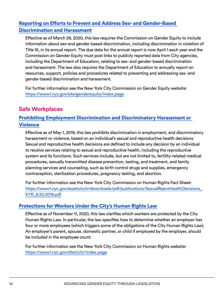# <span id="page-13-0"></span>[Reporting on Efforts to Prevent and Address Sex- and Gender-Based](https://legistar.council.nyc.gov/LegislationDetail.aspx?ID=3923328&GUID=FDFF3503-E312-4E5D-8D10-4E343103C8B8&Options=ID%7CText%7C&Search=women)  [Discrimination and Harassment](https://legistar.council.nyc.gov/LegislationDetail.aspx?ID=3923328&GUID=FDFF3503-E312-4E5D-8D10-4E343103C8B8&Options=ID%7CText%7C&Search=women)

Effective as of March 29, 2020, this law requires the Commission on Gender Equity to include information about sex-and gender-based discrimination, including discrimination in violation of Title IX, in its annual report. The due date for the annual report is now April 1 each year and the Commission on Gender Equity must post links to publicly reported data from City agencies, including the Department of Education, relating to sex- and gender-based discrimination and harassment. The law also requires the Department of Education to annually report on resources, support, policies and procedures related to preventing and addressing sex- and gender-based discrimination and harassment.

For further information see the New York City Commission on Gender Equity website: <https://www1.nyc.gov/site/genderequity/index.page>

# **Safe Workplaces**

# [Prohibiting Employment Discrimination and Discriminatory Harassment or](https://legistar.council.nyc.gov/LegislationDetail.aspx?ID=3486193&GUID=11DC0C25-02CE-4AEF-9846-D6ABAF0D2965&Options=ID%7CText%7C&Search=Gender)  **[Violence](https://legistar.council.nyc.gov/LegislationDetail.aspx?ID=3486193&GUID=11DC0C25-02CE-4AEF-9846-D6ABAF0D2965&Options=ID%7CText%7C&Search=Gender)**

Effective as of May 1, 2019, this law prohibits discrimination in employment, and discriminatory harassment or violence, based on an individual's sexual and reproductive health decisions. Sexual and reproductive health decisions are defined to include any decision by an individual to receive services relating to sexual and reproductive health, including the reproductive system and its functions. Such services include, but are not limited to, fertility-related medical procedures, sexually transmitted disease prevention, testing, and treatment, and family planning services and counseling, such as birth control drugs and supplies, emergency contraception, sterilization procedures, pregnancy testing, and abortion.

For further information see the New York City Commission on Human Rights Fact Sheet: [https://www1.nyc.gov/assets/cchr/downloads/pdf/publications/SexualReproHealthDecisions\\_](https://www1.nyc.gov/assets/cchr/downloads/pdf/publications/SexualReproHealthDecisions_KYR_8.20.2019) [KYR\\_8.20.2019.pdf](https://www1.nyc.gov/assets/cchr/downloads/pdf/publications/SexualReproHealthDecisions_KYR_8.20.2019)

#### [Protections for Workers Under the City's Human Rights Law](https://legistar.council.nyc.gov/LegislationDetail.aspx?ID=3331739&GUID=216BE991-3C48-48E0-A57C-0D06D51C0C29&Options=ID%7CText%7C&Search=domestic+workers)

Effective as of November 11, 2020, this law clarifies which workers are protected by the City Human Rights Law. In particular, the law specifies how to determine whether an employer has four or more employees (which triggers some of the obligations of the City Human Rights Law). An employer's parent, spouse, domestic partner, or child if employed by the employer, should be included in the employee count.

For further information see the New York City Commission on Human Rights website: <https://www1.nyc.gov/site/cchr/index.page>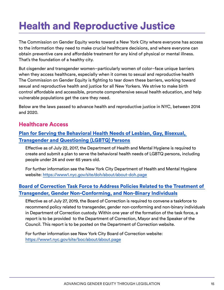# <span id="page-14-0"></span>Health and Reproductive Justice

The Commission on Gender Equity works toward a New York City where everyone has access to the information they need to make crucial healthcare decisions, and where everyone can obtain preventive care and affordable treatment for any kind of physical or mental illness. That's the foundation of a healthy city.

But cisgender and transgender women–particularly women of color–face unique barriers when they access healthcare, especially when it comes to sexual and reproductive health The Commission on Gender Equity is fighting to tear down these barriers, working toward sexual and reproductive health and justice for all New Yorkers. We strive to make birth control affordable and accessible, promote comprehensive sexual health education, and help vulnerable populations get the care they need.

Below are the laws passed to advance health and reproductive justice in NYC, between 2014 and 2020.

### **Healthcare Access**

### [Plan for Serving the Behavioral Health Needs of Lesbian, Gay, Bisexual,](https://legistar.council.nyc.gov/LegislationDetail.aspx?ID=2764879&GUID=A1C784B6-BCDF-4230-9622-49DD8ECA0B0D&Options=ID%7CText%7C&Search=sexual+health)  [Transgender and Questioning \(LGBTQ\) Persons](https://legistar.council.nyc.gov/LegislationDetail.aspx?ID=2764879&GUID=A1C784B6-BCDF-4230-9622-49DD8ECA0B0D&Options=ID%7CText%7C&Search=sexual+health)

Effective as of July 22, 2017, the Department of Health and Mental Hygiene is required to create and submit a plan to serve the behavioral health needs of LGBTQ persons, including people under 24 and over 65 years old.

For further information see the New York City Department of Health and Mental Hygiene website:<https://www1.nyc.gov/site/doh/about/about-doh.page>

#### [Board of Correction Task Force to Address Policies Related to the Treatment of](https://legistar.council.nyc.gov/LegislationDetail.aspx?ID=3923931&GUID=94F7EE69-D9E4-45D2-8A98-A67C055EAE20&Options=ID%7CText%7C&Search=Int+1535-2019)  [Transgender, Gender Non-Conforming, and Non-Binary Individuals](https://legistar.council.nyc.gov/LegislationDetail.aspx?ID=3923931&GUID=94F7EE69-D9E4-45D2-8A98-A67C055EAE20&Options=ID%7CText%7C&Search=Int+1535-2019)

Effective as of July 27, 2019, the Board of Correction is required to convene a taskforce to recommend policy related to transgender, gender non-conforming and non-binary individuals in Department of Correction custody. Within one year of the formation of the task force, a report is to be provided to the Department of Correction, Mayor and the Speaker of the Council. This report is to be posted on the Department of Correction website.

For further information see New York City Board of Correction website: <https://www1.nyc.gov/site/boc/about/about.page>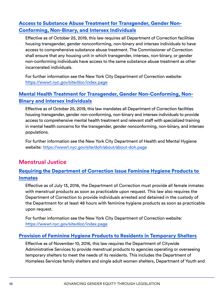### <span id="page-15-0"></span>[Access to Substance Abuse Treatment for Transgender, Gender Non-](https://legistar.council.nyc.gov/LegislationDetail.aspx?ID=3921488&GUID=58A23CA5-C710-4020-81A8-886C1A0BD963&Options=ID%7CText%7C&Search=Int+1514-2019)[Conforming, Non-Binary, and Intersex Individuals](https://legistar.council.nyc.gov/LegislationDetail.aspx?ID=3921488&GUID=58A23CA5-C710-4020-81A8-886C1A0BD963&Options=ID%7CText%7C&Search=Int+1514-2019)

Effective as of October 25, 2019, this law requires all Department of Correction facilities housing transgender, gender nonconforming, non-binary and intersex individuals to have access to comprehensive substance abuse treatment. The Commissioner of Correction shall ensure that any housing unit in which transgender, intersex, non-binary, or gender non-conforming individuals have access to the same substance abuse treatment as other incarcerated individuals.

For further information see the New York City Department of Correction website: <https://www1.nyc.gov/site/doc/index.page>

### [Mental Health Treatment for Transgender, Gender Non-Conforming, Non-](https://legistar.council.nyc.gov/LegislationDetail.aspx?ID=3921537&GUID=90825BC6-31D3-4D0F-A675-22E99257F5A7&Options=ID%7CText%7C&Search=Int+1513-2019)[Binary and Intersex Individuals](https://legistar.council.nyc.gov/LegislationDetail.aspx?ID=3921537&GUID=90825BC6-31D3-4D0F-A675-22E99257F5A7&Options=ID%7CText%7C&Search=Int+1513-2019)

Effective as of October 25, 2019, this law mandates all Department of Correction facilities housing transgender, gender non-conforming, non-binary and intersex individuals to provide access to comprehensive mental health treatment and relevant staff with specialized training in mental health concerns for the transgender, gender nonconforming, non-binary, and intersex populations.

For further information see the New York City Department of Health and Mental Hygiene website:<https://www1.nyc.gov/site/doh/about/about-doh.page>

# **Menstrual Justice**

#### [Requiring the Department of Correction Issue Feminine Hygiene Products to](https://legistar.council.nyc.gov/LegislationDetail.aspx?ID=2637117&GUID=4D97B9EE-4986-4B87-B846-2E52A329695A&Options=ID%7CText%7C&Search=feminine+hygiene)  [Inmates](https://legistar.council.nyc.gov/LegislationDetail.aspx?ID=2637117&GUID=4D97B9EE-4986-4B87-B846-2E52A329695A&Options=ID%7CText%7C&Search=feminine+hygiene)

Effective as of July 13, 2016, the Department of Correction must provide all female inmates with menstrual products as soon as practicable upon request. This law also requires the Department of Correction to provide individuals arrested and detained in the custody of the Department for at least 48 hours with feminine hygiene products as soon as practicable upon request.

For further information see the New York City Department of Correction website: <https://www1.nyc.gov/site/doc/index.page>

#### [Provision of Feminine Hygiene Products to Residents in Temporary Shelters](https://legistar.council.nyc.gov/LegislationDetail.aspx?ID=2637112&GUID=31322AF8-376A-4D7F-93B2-4243BA5E4181&Options=ID%7CText%7C&Search=feminine+hygiene)

Effective as of November 10, 2016, this law requires the Department of Citywide Administrative Services to provide menstrual products to agencies operating or overseeing temporary shelters to meet the needs of its residents. This includes the Department of Homeless Services family shelters and single adult women shelters, Department of Youth and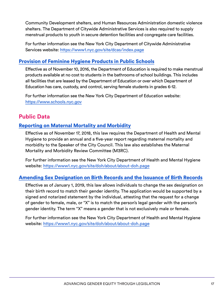<span id="page-16-0"></span>Community Development shelters, and Human Resources Administration domestic violence shelters. The Department of Citywide Administrative Services is also required to supply menstrual products to youth in secure detention facilities and congregate care facilities.

For further information see the New York City Department of Citywide Administrative Services website:<https://www1.nyc.gov/site/dcas/index.page>

#### [Provision of Feminine Hygiene Products in Public Schools](https://legistar.council.nyc.gov/LegislationDetail.aspx?ID=2637114&GUID=834E4DFC-7F14-4E1E-812F-2CD862A4FC1D&Options=ID%7CText%7C&Search=feminine+hygiene)

Effective as of November 10, 2016, the Department of Education is required to make menstrual products available at no cost to students in the bathrooms of school buildings. This includes all facilities that are leased by the Department of Education or over which Department of Education has care, custody, and control, serving female students in grades 6-12.

For further information see the New York City Department of Education website: <https://www.schools.nyc.gov>

# **Public Data**

#### [Reporting on Maternal Mortality and Morbidity](https://legistar.council.nyc.gov/LegislationDetail.aspx?ID=3498546&GUID=87504419-6255-4349-B173-F4A9FA5009FE&Options=ID%7CText%7C&Search=gender)

Effective as of November 17, 2018, this law requires the Department of Health and Mental Hygiene to provide an annual and a five-year report regarding maternal mortality and morbidity to the Speaker of the City Council. This law also establishes the Maternal Mortality and Morbidity Review Committee (M3RC).

For further information see the New York City Department of Health and Mental Hygiene website:<https://www1.nyc.gov/site/doh/about/about-doh.page>

#### [Amending Sex Designation on Birth Records and the Issuance of Birth Records](https://legistar.council.nyc.gov/LegislationDetail.aspx?ID=3521898&GUID=A052CA3B-4FB7-4DD0-8318-5112E8422BA1&Options=&Search=)

Effective as of January 1, 2019, this law allows individuals to change the sex designation on their birth record to match their gender identity. The application would be supported by a signed and notarized statement by the individual, attesting that the request for a change of gender to female, male, or "X" is to match the person's legal gender with the person's gender identity. The term "X" means a gender that is not exclusively male or female.

For further information see the New York City Department of Health and Mental Hygiene website:<https://www1.nyc.gov/site/doh/about/about-doh.page>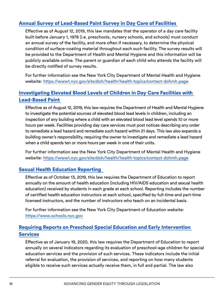#### <span id="page-17-0"></span>[Annual Survey of Lead-Based Paint Survey in Day Care of Facilities](https://legistar.council.nyc.gov/LegislationDetail.aspx?ID=3498552&GUID=4B027FB2-02C8-4571-9F3B-5DA56A4A1AF8&Options=ID%7CText%7C&Search=child+care)

Effective as of August 12, 2019, this law mandates that the operator of a day care facility built before January 1, 1978 (i.e. preschools, nursery schools, and schools) must conduct an annual survey of the facility, and more often if necessary, to determine the physical condition of surface-coating material throughout each such facility. The survey results will be provided to the Department of Health and Mental Hygiene and this information will be publicly available online. The parent or guardian of each child who attends the facility will be directly notified of survey results.

For further information see the New York City Department of Mental Health and Hygiene website:<https://www1.nyc.gov/site/doh/health/health-topics/contact-dohmh.page>

#### [Investigating Elevated Blood Levels of Children in Day Care Facilities with](https://legistar.council.nyc.gov/LegislationDetail.aspx?ID=3343772&GUID=D826FA06-E66A-4ECD-BBF1-B30F7BE3C3C2&Options=ID%7cText%7c&Search=child+care)  [Lead-Based Paint](https://legistar.council.nyc.gov/LegislationDetail.aspx?ID=3343772&GUID=D826FA06-E66A-4ECD-BBF1-B30F7BE3C3C2&Options=ID%7cText%7c&Search=child+care)

Effective as of August 12, 2019, this law requires the Department of Health and Mental Hygiene to investigate the potential sources of elevated blood lead levels in children, including an inspection of any building where a child with an elevated blood lead level spends 10 or more hours per week. Facilities providing day care services must post notices describing any order to remediate a lead hazard and remediate such hazard within 21 days. This law also expands a building owner's responsibility, requiring the owner to investigate and remediate a lead hazard when a child spends ten or more hours per week in one of their units.

For further information see the New York City Department of Mental Health and Hygiene website:<https://www1.nyc.gov/site/doh/health/health-topics/contact-dohmh.page>

#### [Sexual Health Education Reporting](https://legistar.council.nyc.gov/LegislationDetail.aspx?ID=3834156&GUID=A0ABDDA5-0868-45CD-A8C4-64E9B99013A0&Options=ID%7CText%7C&Search=Int+1348-2019)

Effective as of October 13, 2019, this law requires the Department of Education to report annually on the amount of health education (including HIV/AIDS education and sexual health education) received by students in each grade at each school. Reporting includes the number of certified health education instructors at each school, specified by full-time and part-time licensed instructors, and the number of instructors who teach on an incidental basis.

For further information see the New York City Department of Education website: <https://www.schools.nyc.gov>

#### [Requiring Reports on Preschool Special Education and Early Intervention](https://legistar.council.nyc.gov/LegislationDetail.aspx?ID=3860339&GUID=B4E7514E-A3A3-4A67-BADE-EA4D42D9C1D4&Options=ID%7CText%7C&Search=child+care)  **[Services](https://legistar.council.nyc.gov/LegislationDetail.aspx?ID=3860339&GUID=B4E7514E-A3A3-4A67-BADE-EA4D42D9C1D4&Options=ID%7CText%7C&Search=child+care)**

Effective as of January 19, 2020, this law requires the Department of Education to report annually on several indicators regarding its evaluation of preschool-age children for special education services and the provision of such services. These indicators include the initial referral for evaluation, the provision of services, and reporting on how many students eligible to receive such services actually receive them, in full and partial. The law also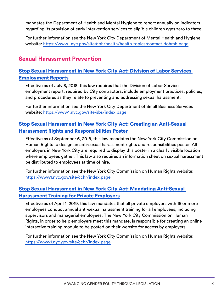<span id="page-18-0"></span>mandates the Department of Health and Mental Hygiene to report annually on indicators regarding its provision of early intervention services to eligible children ages zero to three.

For further information see the New York City Department of Mental Health and Hygiene website:<https://www1.nyc.gov/site/doh/health/health-topics/contact-dohmh.page>

# **Sexual Harassment Prevention**

### [Stop Sexual Harassment in New York City Act: Division of Labor Services](https://legistar.council.nyc.gov/LegislationDetail.aspx?ID=3354947&GUID=01F0E0BD-E33C-4842-A39B-A486437DD780&Options=ID%7CText%7C&Search=sexual+harassment)  [Employment Reports](https://legistar.council.nyc.gov/LegislationDetail.aspx?ID=3354947&GUID=01F0E0BD-E33C-4842-A39B-A486437DD780&Options=ID%7CText%7C&Search=sexual+harassment)

Effective as of July 8, 2018, this law requires that the Division of Labor Services employment report, required by City contractors, include employment practices, policies, and procedures as they relate to preventing and addressing sexual harassment.

For further information see the New York City Department of Small Business Services website:<https://www1.nyc.gov/site/sbs/index.page>

#### [Stop Sexual Harassment in New York City Act: Creating an Anti-Sexual](https://legistar.council.nyc.gov/LegislationDetail.aspx?ID=3354924&GUID=CF950C5F-988C-417F-A720-53451ADA064B&Options=ID%7CText%7C&Search=sexual+harassment)  [Harassment Rights and Responsibilities Poster](https://legistar.council.nyc.gov/LegislationDetail.aspx?ID=3354924&GUID=CF950C5F-988C-417F-A720-53451ADA064B&Options=ID%7CText%7C&Search=sexual+harassment)

Effective as of September 6, 2018, this law mandates the New York City Commission on Human Rights to design an anti-sexual harassment rights and responsibilities poster. All employers in New York City are required to display this poster in a clearly visible location where employees gather. This law also requires an information sheet on sexual harassment be distributed to employees at time of hire.

For further information see the New York City Commission on Human Rights website: <https://www1.nyc.gov/site/cchr/index.page>

#### [Stop Sexual Harassment in New York City Act: Mandating Anti-Sexual](https://legistar.council.nyc.gov/LegislationDetail.aspx?ID=3354925&GUID=D9986F4A-C3A9-4299-BAA8-5A1B1A1AD31E&Options=ID%7CText%7C&Search=sexual+harassment)  [Harassment Training for Private Employers](https://legistar.council.nyc.gov/LegislationDetail.aspx?ID=3354925&GUID=D9986F4A-C3A9-4299-BAA8-5A1B1A1AD31E&Options=ID%7CText%7C&Search=sexual+harassment)

Effective as of April 1, 2019, this law mandates that all private employers with 15 or more employees conduct annual anti-sexual harassment training for all employees, including supervisors and managerial employees. The New York City Commission on Human Rights, in order to help employers meet this mandate, is responsible for creating an online interactive training module to be posted on their website for access by employers.

For further information see the New York City Commission on Human Rights website: <https://www1.nyc.gov/site/cchr/index.page>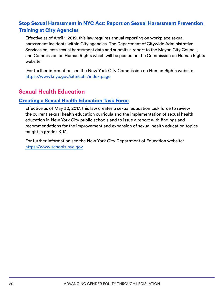# <span id="page-19-0"></span>[Stop Sexual Harassment in NYC Act: Report on Sexual Harassment Prevention](https://legistar.council.nyc.gov/LegislationDetail.aspx?ID=3354915&GUID=7A944D7E-BD65-490F-96BE-DCC3CFDBFA46&Options=ID|Text|&Search=612-A)  [Training at City Agencies](https://legistar.council.nyc.gov/LegislationDetail.aspx?ID=3354915&GUID=7A944D7E-BD65-490F-96BE-DCC3CFDBFA46&Options=ID|Text|&Search=612-A)

Effective as of April 1, 2019, this law requires annual reporting on workplace sexual harassment incidents within City agencies. The Department of Citywide Administrative Services collects sexual harassment data and submits a report to the Mayor, City Council, and Commission on Human Rights which will be posted on the Commission on Human Rights website.

For further information see the New York City Commission on Human Rights website: <https://www1.nyc.gov/site/cchr/index.page>

# **Sexual Health Education**

#### [Creating a Sexual Health Education Task Force](https://legistar.council.nyc.gov/LegislationDetail.aspx?ID=2537056&GUID=CBBACEFF-D552-446A-8182-D9CA579C7FE0&Options=ID%7CText%7C&Search=sexual+health)

Effective as of May 30, 2017, this law creates a sexual education task force to review the current sexual health education curricula and the implementation of sexual health education in New York City public schools and to issue a report with findings and recommendations for the improvement and expansion of sexual health education topics taught in grades K-12.

For further information see the New York City Department of Education website: <https://www.schools.nyc.gov>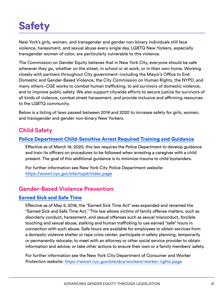# <span id="page-20-0"></span>**Safety**

New York's girls, women, and transgender and gender non-binary individuals still face violence, harassment, and sexual abuse every single day. LGBTQ New Yorkers, especially transgender women of color, are particularly vulnerable to this violence.

The Commission on Gender Equity believes that in New York City, everyone should be safe wherever they go, whether on the street, in school or at work, or in their own home. Working closely with partners throughout City government–including the Mayor's Office to End Domestic and Gender-Based Violence, the City Commission on Human Rights, the NYPD, and many others–CGE works to combat human trafficking, to aid survivors of domestic violence, and to improve public safety. We also support citywide efforts to secure justice for survivors of all kinds of violence, combat street harassment, and provide inclusive and affirming resources to the LGBTQ community.

Below is a listing of laws passed between 2014 and 2020 to increase safety for girls, women, and transgender and gender non-binary New Yorkers.

# **Child Safety**

#### [Police Department Child-Sensitive Arrest Required Training and Guidance](https://legistar.council.nyc.gov/LegislationDetail.aspx?ID=3844837&GUID=F33CCA96-2836-4B2C-9D6B-C6E86387787B&Options=ID%7CText%7C&Search=child+care)

Effective as of March 14, 2020, this law requires the Police Department to develop guidance and train its officers on procedures to be followed when arresting a caregiver with a child present. The goal of this additional guidance is to minimize trauma to child bystanders.

For further information see New York City Police Department website: <https://www1.nyc.gov/site/nypd/index.page>

# **Gender-Based Violence Prevention**

#### [Earned Sick and Safe Time](https://legistar.council.nyc.gov/LegislationDetail.aspx?ID=2867849&GUID=DCC83D1C-0D6A-4E38-9FEB-6974CA947D6F&Options=ID%7CText%7C&Search=)

Effective as of May 5, 2018, the "Earned Sick Time Act" was expanded and renamed the "Earned Sick and Safe Time Act." This law allows victims of family offense matters, such as disorderly conduct, harassment, and sexual offenses such as sexual misconduct, forcible touching and sexual abuse, stalking and human trafficking to use earned "safe" hours in connection with such abuse. Safe hours are available for employees to obtain services from a domestic violence shelter or rape crisis center; participate in safety planning, temporarily or permanently relocate; to meet with an attorney or other social service provider to obtain information and advice; or take other actions to ensure their own or a family members' safety.

For further information see the New York City Department of Consumer and Worker Protection website:<https://www1.nyc.gov/site/dca/workers/worker-rights.page>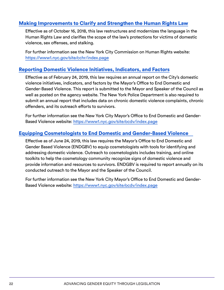#### <span id="page-21-0"></span>[Making Improvements to Clarify and Strengthen the Human Rights Law](https://legistar.council.nyc.gov/LegislationDetail.aspx?ID=2524277&GUID=95BD1BC8-BC4F-4320-9130-E6705CE17161&Options=ID%7CText%7C&Search=1012)

Effective as of October 16, 2018, this law restructures and modernizes the language in the Human Rights Law and clarifies the scope of the law's protections for victims of domestic violence, sex offenses, and stalking.

For further information see the New York City Commission on Human Rights website: <https://www1.nyc.gov/site/cchr/index.page>

#### [Reporting Domestic Violence Initiatives, Indicators, and Factors](https://legistar.council.nyc.gov/LegislationDetail.aspx?ID=3332142&GUID=13B15146-5BC4-436E-B4BA-33761ED55F96&Options=ID%7CText%7C&Search=gender)

Effective as of February 24, 2019, this law requires an annual report on the City's domestic violence initiatives, indicators, and factors by the Mayor's Office to End Domestic and Gender-Based Violence. This report is submitted to the Mayor and Speaker of the Council as well as posted on the agency website. The New York Police Department is also required to submit an annual report that includes data on chronic domestic violence complaints, chronic offenders, and its outreach efforts to survivors.

For further information see the New York City Mayor's Office to End Domestic and Gender-Based Violence website:<https://www1.nyc.gov/site/ocdv/index.page>

#### [Equipping Cosmetologists to End Domestic and Gender-Based Violence](https://legistar.council.nyc.gov/LegislationDetail.aspx?ID=3332149&GUID=EEA070C5-378B-4C8A-A759-5F7F49448C1F&Options=&Search=)

Effective as of June 24, 2019, this law requires the Mayor's Office to End Domestic and Gender Based Violence (ENDGBV) to equip cosmetologists with tools for identifying and addressing domestic violence. Outreach to cosmetologists includes training, and online toolkits to help the cosmetology community recognize signs of domestic violence and provide information and resources to survivors. ENDGBV is required to report annually on its conducted outreach to the Mayor and the Speaker of the Council.

For further information see the New York City Mayor's Office to End Domestic and Gender-Based Violence website:<https://www1.nyc.gov/site/ocdv/index.page>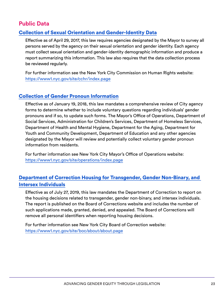# <span id="page-22-0"></span>**Public Data**

#### [Collection of Sexual Orientation and Gender-Identity Data](https://legistar.council.nyc.gov/LegislationDetail.aspx?ID=2073850&GUID=BA662CC7-718C-4363-9766-4CADA1B771CD&Options=ID%7CText%7C&Search=sexual+health)

Effective as of April 29, 2017, this law requires agencies designated by the Mayor to survey all persons served by the agency on their sexual orientation and gender identity. Each agency must collect sexual orientation and gender-identity demographic information and produce a report summarizing this information. This law also requires that the data collection process be reviewed regularly.

For further information see the New York City Commission on Human Rights website: <https://www1.nyc.gov/site/cchr/index.page>

#### [Collection of Gender Pronoun Information](https://legistar.council.nyc.gov/LegislationDetail.aspx?ID=3042788&GUID=83266009-98D7-4A9E-B08E-6DC9DB641877&Options=ID%7CText%7C&Search=sexual+health)

Effective as of January 19, 2018, this law mandates a comprehensive review of City agency forms to determine whether to include voluntary questions regarding individuals' gender pronouns and if so, to update such forms. The Mayor's Office of Operations, Department of Social Services, Administration for Children's Services, Department of Homeless Services, Department of Health and Mental Hygiene, Department for the Aging, Department for Youth and Community Development, Department of Education and any other agencies designated by the Mayor will review and potentially collect voluntary gender pronoun information from residents.

For further information see New York City Mayor's Office of Operations website: <https://www1.nyc.gov/site/operations/index.page>

#### [Department of Correction Housing for Transgender, Gender Non-Binary, and](https://legistar.council.nyc.gov/LegislationDetail.aspx?ID=3923930&GUID=B1A151BC-6A80-4869-9CF4-380CCAF8A21B&Options=ID%7CText%7C&Search=Int+1530-2019)  [Intersex Individuals](https://legistar.council.nyc.gov/LegislationDetail.aspx?ID=3923930&GUID=B1A151BC-6A80-4869-9CF4-380CCAF8A21B&Options=ID%7CText%7C&Search=Int+1530-2019)

Effective as of July 27, 2019, this law mandates the Department of Correction to report on the housing decisions related to transgender, gender non-binary, and intersex individuals. The report is published on the Board of Corrections website and includes the number of such applications made, granted, denied, and appealed. The Board of Corrections will remove all personal identifiers when reporting housing decisions.

For further information see New York City Board of Correction website: <https://www1.nyc.gov/site/boc/about/about.page>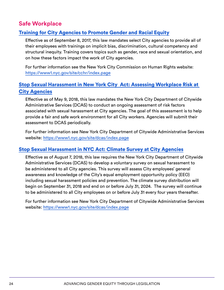# <span id="page-23-0"></span>**Safe Workplace**

#### [Training for City Agencies to Promote Gender and Racial Equity](https://legistar.council.nyc.gov/LegislationDetail.aspx?ID=2984604&GUID=FF1A940A-776D-49C0-87F9-B1DBF2EE1417&Options=ID%7CText%7C&Search=gender)

Effective as of September 8, 2017, this law mandates select City agencies to provide all of their employees with trainings on implicit bias, discrimination, cultural competency and structural inequity. Training covers topics such as gender, race and sexual orientation, and on how these factors impact the work of City agencies.

For further information see the New York City Commission on Human Rights website: <https://www1.nyc.gov/site/cchr/index.page>

### [Stop Sexual Harassment in New York City Act: Assessing Workplace Risk at](https://legistar.council.nyc.gov/LegislationDetail.aspx?ID=3354916&GUID=DAE201C7-E082-47C8-9C7F-3CA16D20FA7C&Options=ID%7CText%7C&Search=gender)  [City Agencies](https://legistar.council.nyc.gov/LegislationDetail.aspx?ID=3354916&GUID=DAE201C7-E082-47C8-9C7F-3CA16D20FA7C&Options=ID%7CText%7C&Search=gender)

Effective as of May 9, 2018, this law mandates the New York City Department of Citywide Administrative Services (DCAS) to conduct an ongoing assessment of risk factors associated with sexual harassment at City agencies. The goal of this assessment is to help provide a fair and safe work environment for all City workers. Agencies will submit their assessment to DCAS periodically.

For further information see New York City Department of Citywide Administrative Services website:<https://www1.nyc.gov/site/dcas/index.page>

#### [Stop Sexual Harassment in NYC Act: Climate Survey at City Agencies](https://legistar.council.nyc.gov/LegislationDetail.aspx?ID=3354946&GUID=E08BA5B5-66FB-4528-9207-E8EEA2617D9E&Options=ID%7CText%7C&Search=gender)

Effective as of August 7, 2018, this law requires the New York City Department of Citywide Administrative Services (DCAS) to develop a voluntary survey on sexual harassment to be administered to all City agencies. This survey will assess City employees' general awareness and knowledge of the City's equal employment opportunity policy (EEO) including sexual harassment policies and prevention. The climate survey distribution will begin on September 31, 2018 and end on or before July 31, 2024. The survey will continue to be administered to all City employees on or before July 31 every four years thereafter.

For further information see New York City Department of Citywide Administrative Services website:<https://www1.nyc.gov/site/dcas/index.page>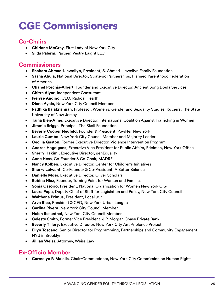# <span id="page-24-0"></span>CGE Commissioners

# **Co-Chairs**

- • **Chirlane McCray,** First Lady of New York City
- • **Silda Palerm**, Partner, Vestry Laight LLC

# **Commissioners**

- • **Shahara Ahmad-Llewellyn**, President, S. Ahmad-Llewellyn Family Foundation
- • **Sasha Ahuja**, National Director, Strategic Partnerships, Planned Parenthood Federation of America
- • **Chanel Porchia-Albert**, Founder and Executive Director, Ancient Song Doula Services
- • **Chitra Aiyar**, Independent Consultant
- • **Ivelyse Andino**, CEO, Radical Health
- • **Diana Ayala**, New York City Council Member
- • **Radhika Balakrishnan**, Professor, Women's, Gender and Sexuality Studies, Rutgers, The State University of New Jersey
- • **Taina Bien-Aime**, Executive Director, International Coalition Against Trafficking in Women
- • **Jimmie Briggs**, Principal, The Skoll Foundation
- **Beverly Cooper Neufeld, Founder & President, PowHer New York**
- • **Laurie Cumbo**, New York City Council Member and Majority Leader
- • **Cecilia Gaston**, Former Executive Director, Violence Intervention Program
- • **Andrea Hagelgans**, Executive Vice President for Public Affairs, Edelman, New York Office
- • **Sherry Hakimi**, Executive Director, genEquality
- **Anne Hess, Co-Founder & Co-Chair, MADRE**
- **Nancy Kolben, Executive Director, Center for Children's Initiatives**
- **Sherry Leiwant, Co-Founder & Co-President, A Better Balance**
- **Danielle Moss, Executive Director, Oliver Scholars**
- **Robina Niaz, Founder, Turning Point for Women and Families**
- **Sonia Ossorio, President, National Organization for Women New York City**
- **Laura Popa, Deputy Chief of Staff for Legislation and Policy, New York City Council**
- • **Walthene Primus**, President, Local 957
- • **Arva Rice**, President & CEO, New York Urban League
- • **Carlina Rivera**, New York City Council Member
- • **Helen Rosenthal**, New York City Council Member
- • **Celeste Smith**, Former Vice President, J.P. Morgan Chase Private Bank
- **Beverly Tillery, Executive Director, New York City Anti-Violence Project**
- • **Ellyn Toscano**, Senior Director for Programming, Partnerships and Community Engagement, NYU in Brooklyn
- • **Jillian Weiss**, Attorney, Weiss Law

# **Ex-Officio Member**

• **Carmelyn P. Malalis**, Chair/Commissioner, New York City Commission on Human Rights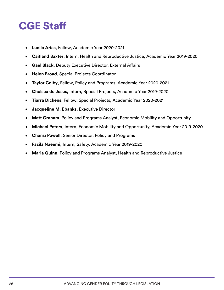# <span id="page-25-0"></span>CGE Staff

- • **Lucila Arias**, Fellow, Academic Year 2020-2021
- • **Caitland Baxter**, Intern, Health and Reproductive Justice, Academic Year 2019-2020
- • **Gael Black**, Deputy Executive Director, External Affairs
- • **Helen Broad**, Special Projects Coordinator
- • **Taylor Colby**, Fellow, Policy and Programs, Academic Year 2020-2021
- • **Chelsea de Jesus**, Intern, Special Projects, Academic Year 2019-2020
- • **Tiarra Dickens**, Fellow, Special Projects, Academic Year 2020-2021
- • **Jacqueline M. Ebanks**, Executive Director
- Matt Graham, Policy and Programs Analyst, Economic Mobility and Opportunity
- • **Michael Peters**, Intern, Economic Mobility and Opportunity, Academic Year 2019-2020
- • **Chansi Powell**, Senior Director, Policy and Programs
- • **Fazila Naeemi**, Intern, Safety, Academic Year 2019-2020
- **Maria Quinn, Policy and Programs Analyst, Health and Reproductive Justice**